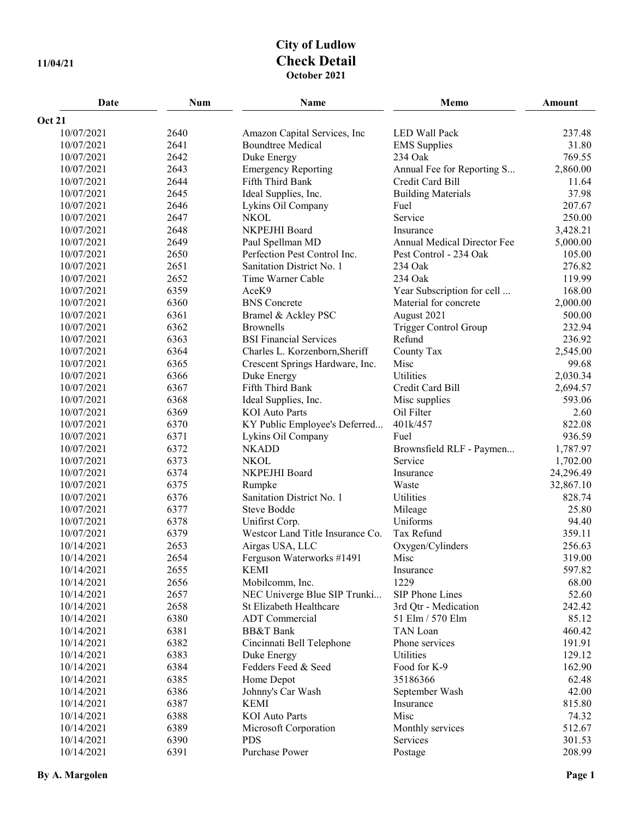## **City of Ludlow 11/04/21 Check Detail October 2021**

| Date                     | <b>Num</b>   | Name                                                    | Memo                        | Amount          |
|--------------------------|--------------|---------------------------------------------------------|-----------------------------|-----------------|
| <b>Oct 21</b>            |              |                                                         |                             |                 |
| 10/07/2021               | 2640         | Amazon Capital Services, Inc                            | LED Wall Pack               | 237.48          |
| 10/07/2021               | 2641         | <b>Boundtree Medical</b>                                | <b>EMS</b> Supplies         | 31.80           |
| 10/07/2021               | 2642         | Duke Energy                                             | 234 Oak                     | 769.55          |
| 10/07/2021               | 2643         | <b>Emergency Reporting</b>                              | Annual Fee for Reporting S  | 2,860.00        |
| 10/07/2021               | 2644         | Fifth Third Bank                                        | Credit Card Bill            | 11.64           |
| 10/07/2021               | 2645         | Ideal Supplies, Inc.                                    | <b>Building Materials</b>   | 37.98           |
| 10/07/2021               | 2646         | Lykins Oil Company                                      | Fuel                        | 207.67          |
| 10/07/2021               | 2647         | <b>NKOL</b>                                             | Service                     | 250.00          |
| 10/07/2021               | 2648         | NKPEJHI Board                                           | Insurance                   | 3,428.21        |
| 10/07/2021               | 2649         | Paul Spellman MD                                        | Annual Medical Director Fee | 5,000.00        |
| 10/07/2021               | 2650         | Perfection Pest Control Inc.                            | Pest Control - 234 Oak      | 105.00          |
| 10/07/2021               | 2651         | Sanitation District No. 1                               | 234 Oak                     | 276.82          |
| 10/07/2021               | 2652         | Time Warner Cable                                       | 234 Oak                     | 119.99          |
| 10/07/2021               | 6359         | AceK9                                                   | Year Subscription for cell  | 168.00          |
| 10/07/2021               | 6360         | <b>BNS</b> Concrete                                     | Material for concrete       | 2,000.00        |
| 10/07/2021               | 6361         | Bramel & Ackley PSC                                     | August 2021                 | 500.00          |
| 10/07/2021               | 6362         | <b>Brownells</b>                                        | Trigger Control Group       | 232.94          |
| 10/07/2021               | 6363         | <b>BSI Financial Services</b>                           | Refund                      | 236.92          |
| 10/07/2021               | 6364         | Charles L. Korzenborn, Sheriff                          | County Tax                  | 2,545.00        |
| 10/07/2021               | 6365         | Crescent Springs Hardware, Inc.                         | Misc                        | 99.68           |
| 10/07/2021               | 6366         | Duke Energy                                             | Utilities                   | 2,030.34        |
| 10/07/2021               | 6367         | Fifth Third Bank                                        | Credit Card Bill            | 2,694.57        |
| 10/07/2021               | 6368         | Ideal Supplies, Inc.                                    | Misc supplies               | 593.06          |
| 10/07/2021               | 6369         | <b>KOI</b> Auto Parts                                   | Oil Filter                  | 2.60            |
| 10/07/2021               | 6370         | KY Public Employee's Deferred                           | 401k/457                    | 822.08          |
| 10/07/2021               | 6371         | Lykins Oil Company                                      | Fuel                        | 936.59          |
| 10/07/2021               | 6372         | <b>NKADD</b>                                            | Brownsfield RLF - Paymen    | 1,787.97        |
| 10/07/2021               | 6373         | <b>NKOL</b>                                             | Service                     | 1,702.00        |
| 10/07/2021               | 6374         | NKPEJHI Board                                           | Insurance                   | 24,296.49       |
| 10/07/2021               | 6375         | Rumpke                                                  | Waste                       | 32,867.10       |
| 10/07/2021               | 6376         | Sanitation District No. 1                               | Utilities                   | 828.74          |
| 10/07/2021               | 6377         | Steve Bodde                                             | Mileage                     | 25.80           |
| 10/07/2021               | 6378         | Unifirst Corp.                                          | Uniforms                    | 94.40           |
| 10/07/2021               | 6379         | Westcor Land Title Insurance Co.                        | Tax Refund                  | 359.11          |
| 10/14/2021               | 2653         | Airgas USA, LLC                                         | Oxygen/Cylinders            | 256.63          |
| 10/14/2021               | 2654         | Ferguson Waterworks #1491                               | Misc                        | 319.00          |
| 10/14/2021               | 2655         | <b>KEMI</b>                                             | Insurance<br>1229           | 597.82          |
| 10/14/2021               | 2656         | Mobilcomm, Inc.                                         | SIP Phone Lines             | 68.00           |
| 10/14/2021<br>10/14/2021 | 2657<br>2658 | NEC Univerge Blue SIP Trunki<br>St Elizabeth Healthcare | 3rd Qtr - Medication        | 52.60<br>242.42 |
| 10/14/2021               | 6380         | <b>ADT</b> Commercial                                   | 51 Elm / 570 Elm            | 85.12           |
| 10/14/2021               | 6381         | <b>BB&amp;T</b> Bank                                    | TAN Loan                    | 460.42          |
| 10/14/2021               | 6382         | Cincinnati Bell Telephone                               | Phone services              | 191.91          |
| 10/14/2021               | 6383         | Duke Energy                                             | Utilities                   | 129.12          |
| 10/14/2021               | 6384         | Fedders Feed & Seed                                     | Food for K-9                | 162.90          |
| 10/14/2021               | 6385         | Home Depot                                              | 35186366                    | 62.48           |
| 10/14/2021               | 6386         | Johnny's Car Wash                                       | September Wash              | 42.00           |
| 10/14/2021               | 6387         | <b>KEMI</b>                                             | Insurance                   | 815.80          |
| 10/14/2021               | 6388         | <b>KOI</b> Auto Parts                                   | Misc                        | 74.32           |
| 10/14/2021               | 6389         | Microsoft Corporation                                   | Monthly services            | 512.67          |
| 10/14/2021               | 6390         | <b>PDS</b>                                              | Services                    | 301.53          |
| 10/14/2021               | 6391         | <b>Purchase Power</b>                                   | Postage                     | 208.99          |
|                          |              |                                                         |                             |                 |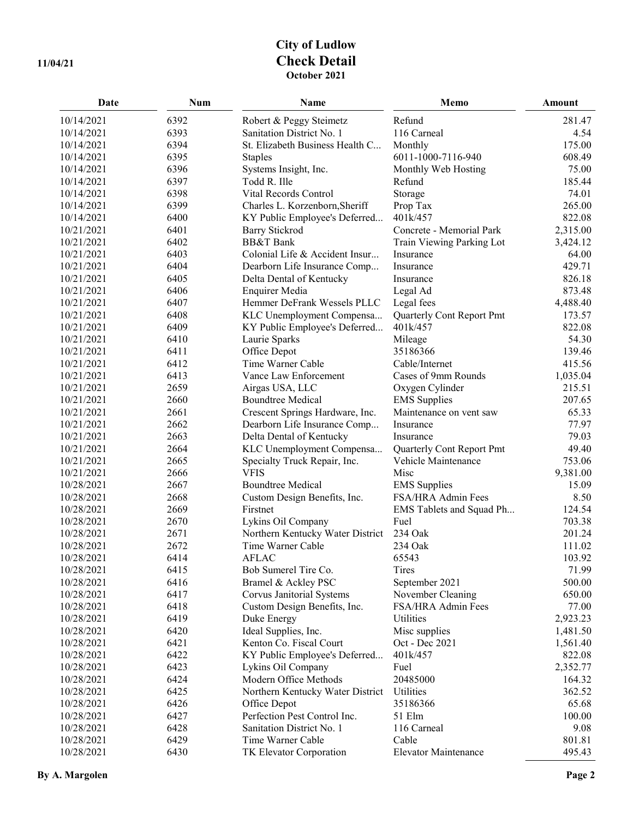## **City of Ludlow 11/04/21 Check Detail October 2021**

| Date       | <b>Num</b> | Name                             | Memo                      | Amount   |
|------------|------------|----------------------------------|---------------------------|----------|
| 10/14/2021 | 6392       | Robert & Peggy Steimetz          | Refund                    | 281.47   |
| 10/14/2021 | 6393       | Sanitation District No. 1        | 116 Carneal               | 4.54     |
| 10/14/2021 | 6394       | St. Elizabeth Business Health C  | Monthly                   | 175.00   |
| 10/14/2021 | 6395       | <b>Staples</b>                   | 6011-1000-7116-940        | 608.49   |
| 10/14/2021 | 6396       | Systems Insight, Inc.            | Monthly Web Hosting       | 75.00    |
| 10/14/2021 | 6397       | Todd R. Ille                     | Refund                    | 185.44   |
| 10/14/2021 | 6398       | Vital Records Control            | Storage                   | 74.01    |
| 10/14/2021 | 6399       | Charles L. Korzenborn, Sheriff   | Prop Tax                  | 265.00   |
| 10/14/2021 | 6400       | KY Public Employee's Deferred    | 401k/457                  | 822.08   |
| 10/21/2021 | 6401       | <b>Barry Stickrod</b>            | Concrete - Memorial Park  | 2,315.00 |
| 10/21/2021 | 6402       | <b>BB&amp;T</b> Bank             | Train Viewing Parking Lot | 3,424.12 |
| 10/21/2021 | 6403       | Colonial Life & Accident Insur   | Insurance                 | 64.00    |
| 10/21/2021 | 6404       | Dearborn Life Insurance Comp     | Insurance                 | 429.71   |
| 10/21/2021 | 6405       | Delta Dental of Kentucky         | Insurance                 | 826.18   |
| 10/21/2021 | 6406       | <b>Enquirer Media</b>            | Legal Ad                  | 873.48   |
| 10/21/2021 | 6407       | Hemmer DeFrank Wessels PLLC      | Legal fees                | 4,488.40 |
| 10/21/2021 | 6408       | KLC Unemployment Compensa        | Quarterly Cont Report Pmt | 173.57   |
| 10/21/2021 | 6409       | KY Public Employee's Deferred    | 401k/457                  | 822.08   |
| 10/21/2021 | 6410       | Laurie Sparks                    | Mileage                   | 54.30    |
| 10/21/2021 | 6411       | Office Depot                     | 35186366                  | 139.46   |
| 10/21/2021 | 6412       | Time Warner Cable                | Cable/Internet            | 415.56   |
| 10/21/2021 | 6413       | Vance Law Enforcement            | Cases of 9mm Rounds       | 1,035.04 |
| 10/21/2021 | 2659       | Airgas USA, LLC                  | Oxygen Cylinder           | 215.51   |
| 10/21/2021 | 2660       | <b>Boundtree Medical</b>         | <b>EMS</b> Supplies       | 207.65   |
| 10/21/2021 | 2661       | Crescent Springs Hardware, Inc.  | Maintenance on vent saw   | 65.33    |
| 10/21/2021 | 2662       | Dearborn Life Insurance Comp     | Insurance                 | 77.97    |
| 10/21/2021 | 2663       | Delta Dental of Kentucky         | Insurance                 | 79.03    |
| 10/21/2021 | 2664       | KLC Unemployment Compensa        | Quarterly Cont Report Pmt | 49.40    |
| 10/21/2021 | 2665       | Specialty Truck Repair, Inc.     | Vehicle Maintenance       | 753.06   |
| 10/21/2021 | 2666       | <b>VFIS</b>                      | Misc                      | 9,381.00 |
| 10/28/2021 | 2667       | <b>Boundtree Medical</b>         | <b>EMS</b> Supplies       | 15.09    |
| 10/28/2021 | 2668       | Custom Design Benefits, Inc.     | FSA/HRA Admin Fees        | 8.50     |
| 10/28/2021 | 2669       | Firstnet                         | EMS Tablets and Squad Ph  | 124.54   |
| 10/28/2021 | 2670       | Lykins Oil Company               | Fuel                      | 703.38   |
| 10/28/2021 | 2671       | Northern Kentucky Water District | 234 Oak                   | 201.24   |
| 10/28/2021 | 2672       | Time Warner Cable                | 234 Oak                   | 111.02   |
| 10/28/2021 | 6414       | <b>AFLAC</b>                     | 65543                     | 103.92   |
| 10/28/2021 | 6415       | Bob Sumerel Tire Co.             | Tires                     | 71.99    |
| 10/28/2021 | 6416       | Bramel & Ackley PSC              | September 2021            | 500.00   |
| 10/28/2021 | 6417       | Corvus Janitorial Systems        | November Cleaning         | 650.00   |
| 10/28/2021 | 6418       | Custom Design Benefits, Inc.     | FSA/HRA Admin Fees        | 77.00    |
| 10/28/2021 | 6419       | Duke Energy                      | Utilities                 | 2,923.23 |
| 10/28/2021 | 6420       | Ideal Supplies, Inc.             | Misc supplies             | 1,481.50 |
| 10/28/2021 | 6421       | Kenton Co. Fiscal Court          | Oct - Dec 2021            | 1,561.40 |
| 10/28/2021 | 6422       | KY Public Employee's Deferred    | 401k/457                  | 822.08   |
| 10/28/2021 | 6423       | Lykins Oil Company               | Fuel                      | 2,352.77 |
| 10/28/2021 | 6424       | Modern Office Methods            | 20485000                  | 164.32   |
| 10/28/2021 | 6425       | Northern Kentucky Water District | Utilities                 | 362.52   |
| 10/28/2021 | 6426       | Office Depot                     | 35186366                  | 65.68    |
| 10/28/2021 | 6427       | Perfection Pest Control Inc.     | 51 Elm                    | 100.00   |
| 10/28/2021 | 6428       | Sanitation District No. 1        | 116 Carneal               | 9.08     |
| 10/28/2021 | 6429       | Time Warner Cable                | Cable                     | 801.81   |
| 10/28/2021 | 6430       | TK Elevator Corporation          | Elevator Maintenance      | 495.43   |